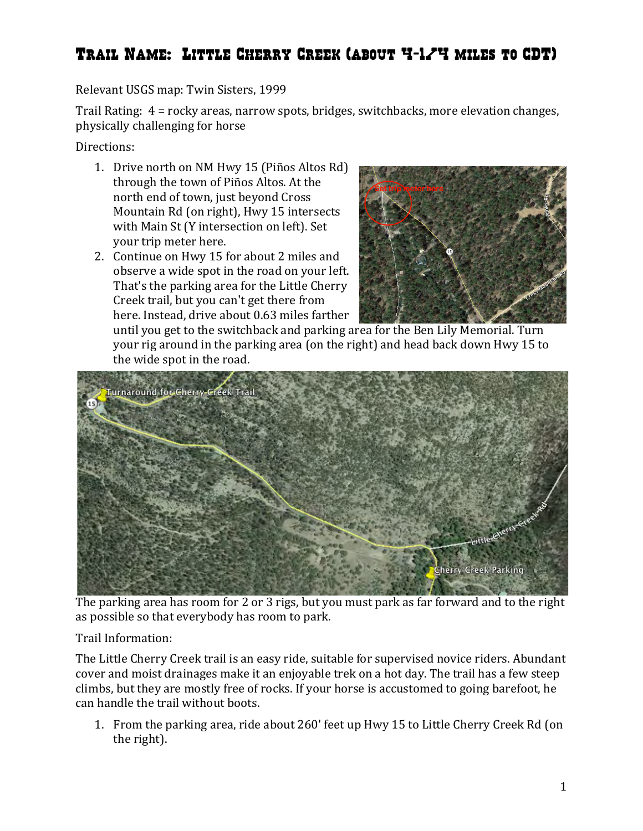## Trail Name: Little Cherry Creek (about 4-1/4 miles to CDT)

## Relevant USGS map: Twin Sisters, 1999

Trail Rating:  $4 =$  rocky areas, narrow spots, bridges, switchbacks, more elevation changes, physically challenging for horse

Directions:

- 1. Drive north on NM Hwy 15 (Piños Altos Rd) through the town of Piños Altos. At the north end of town, just beyond Cross Mountain Rd (on right), Hwy 15 intersects with Main St (Y intersection on left). Set your trip meter here.
- 2. Continue on Hwy 15 for about 2 miles and observe a wide spot in the road on your left. That's the parking area for the Little Cherry Creek trail, but you can't get there from here. Instead, drive about 0.63 miles farther



until you get to the switchback and parking area for the Ben Lily Memorial. Turn your rig around in the parking area (on the right) and head back down Hwy 15 to the wide spot in the road.



The parking area has room for 2 or 3 rigs, but you must park as far forward and to the right as possible so that everybody has room to park.

Trail Information: 

The Little Cherry Creek trail is an easy ride, suitable for supervised novice riders. Abundant cover and moist drainages make it an enjoyable trek on a hot day. The trail has a few steep climbs, but they are mostly free of rocks. If your horse is accustomed to going barefoot, he can handle the trail without boots.

1. From the parking area, ride about 260' feet up Hwy 15 to Little Cherry Creek Rd (on the right).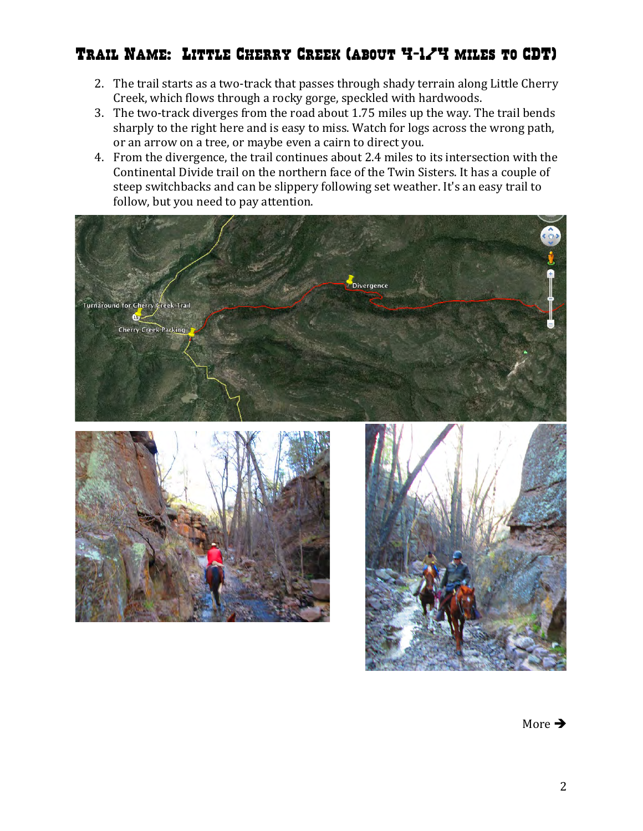## Trail Name: Little Cherry Creek (about 4-1/4 miles to CDT)

- 2. The trail starts as a two-track that passes through shady terrain along Little Cherry Creek, which flows through a rocky gorge, speckled with hardwoods.
- 3. The two-track diverges from the road about 1.75 miles up the way. The trail bends sharply to the right here and is easy to miss. Watch for logs across the wrong path, or an arrow on a tree, or maybe even a cairn to direct you.
- 4. From the divergence, the trail continues about 2.4 miles to its intersection with the Continental Divide trail on the northern face of the Twin Sisters. It has a couple of steep switchbacks and can be slippery following set weather. It's an easy trail to follow, but you need to pay attention.







More  $\rightarrow$